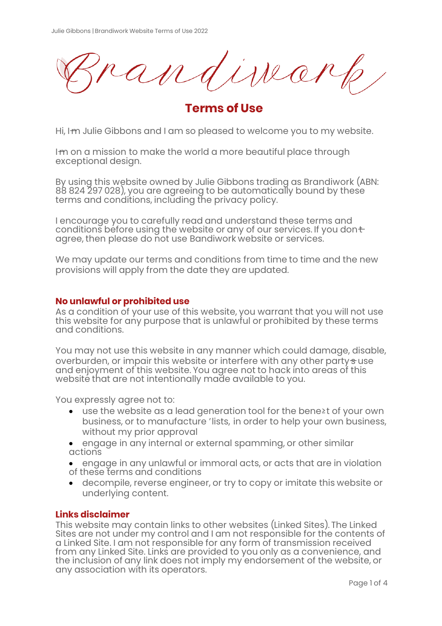iska

**Terms of Use**

Hi, I<del>m</del> Julie Gibbons and I am so pleased to welcome you to my website.

I-m on a mission to make the world a more beautiful place through exceptional design.

By using this website owned by Julie Gibbons trading as Brandiwork (ABN: 88 824 297 028), you are agreeing to be automatically bound by these terms and conditions, including the privacy policy.

I encourage you to carefully read and understand these terms and conditions before using the website or any of our services. If you dont agree, then please do not use Bandiwork website or services.

We may update our terms and conditions from time to time and the new provisions will apply from the date they are updated.

### **No unlawful or prohibited use**

As a condition of your use of this website, you warrant that you will not use this website for any purpose that is unlawful or prohibited by these terms and conditions.

You may not use this website in any manner which could damage, disable, overburden, or impair this website or interfere with any other party suse and enjoyment of this website. You agree not to hack into areas of this website that are not intentionally made available to you.

You expressly agree not to:

- � use the website as a lead generation tool for the bene≥t of your own business, or to manufacture 'lists, in order to help your own business, without my prior approval
- � engage in any internal or external spamming, or other similar actions
- � engage in any unlawful or immoral acts, or acts that are in violation of these terms and conditions
- � decompile, reverse engineer, or try to copy or imitate this website or underlying content.

### **Links disclaimer**

This website may contain links to other websites (Linked Sites). The Linked Sites are not under my control and I am not responsible for the contents of a Linked Site. I am not responsible for any form of transmission received from any Linked Site. Links are provided to you only as a convenience, and the inclusion of any link does not imply my endorsement of the website, or any association with its operators.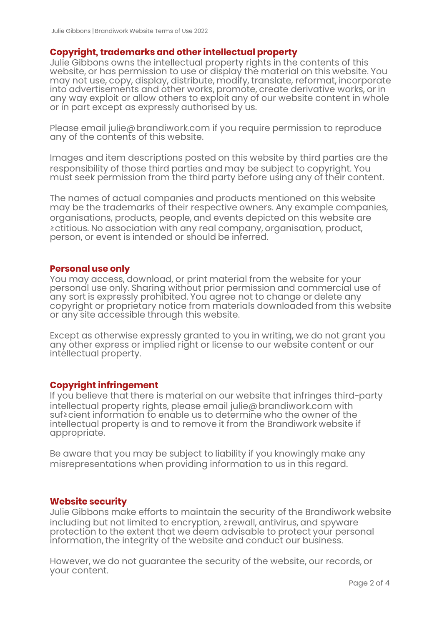### **Copyright, trademarks and other intellectual property**

Julie Gibbons owns the intellectual property rights in the contents of this website, or has permission to use or display the material on this website. You may not use, copy, display, distribute, modify, translate, reformat, incorporate into advertisements and other works, promote, create derivative works, or in any way exploit or allow others to exploit any of our website content in whole or in part except as expressly authorised by us.

Please email julie@ brandiwork.com if you require permission to reproduce any of the contents of this website.

Images and item descriptions posted on this website by third parties are the responsibility of those third parties and may be subject to copyright. You must seek permission from the third party before using any of their content.

The names of actual companies and products mentioned on this website may be the trademarks of their respective owners. Any example companies, organisations, products, people, and events depicted on this website are ≥ctitious. No association with any real company, organisation, product, person, or event is intended or should be inferred.

#### **Personal use only**

You may access, download, or print material from the website for your personal use only. Sharing without prior permission and commercial use of any sort is expressly prohibited. You agree not to change or delete any copyright or proprietary notice from materials downloaded from this website or any site accessible through this website.

Except as otherwise expressly granted to you in writing, we do not grant you any other express or implied right or license to our website content or our intellectual property.

### **Copyright infringement**

If you believe that there is material on our website that infringes third-party intellectual property rights, please email julie@ brandiwork.com with suf≥cient information to enable us to determine who the owner of the intellectual property is and to remove it from the Brandiwork website if appropriate.

Be aware that you may be subject to liability if you knowingly make any misrepresentations when providing information to us in this regard.

#### **Website security**

Julie Gibbons make efforts to maintain the security of the Brandiwork website including but not limited to encryption, ≥rewall, antivirus, and spyware protection to the extent that we deem advisable to protect your personal information, the integrity of the website and conduct our business.

However, we do not guarantee the security of the website, our records, or your content.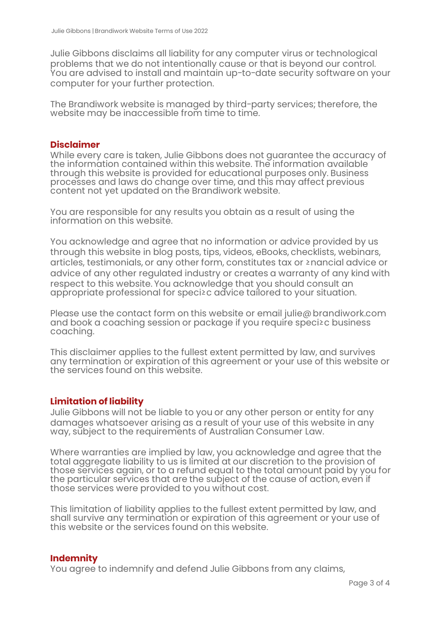Julie Gibbons disclaims all liability for any computer virus or technological problems that we do not intentionally cause or that is beyond our control. You are advised to install and maintain up-to-date security software on your computer for your further protection.

The Brandiwork website is managed by third-party services; therefore, the website may be inaccessible from time to time.

#### **Disclaimer**

While every care is taken, Julie Gibbons does not guarantee the accuracy of the information contained within this website. The information available through this website is provided for educational purposes only. Business processes and laws do change over time, and this may affect previous content not yet updated on the Brandiwork website.

You are responsible for any results you obtain as a result of using the information on this website.

You acknowledge and agree that no information or advice provided by us through this website in blog posts, tips, videos, eBooks, checklists, webinars, articles, testimonials, or any other form, constitutes tax or ≥nancial advice or advice of any other regulated industry or creates a warranty of any kind with respect to this website. You acknowledge that you should consult an appropriate professional for speci≥c advice tailored to your situation.

Please use the contact form on this website or email julie@ brandiwork.com and book a coaching session or package if you require speci≥c business coaching.

This disclaimer applies to the fullest extent permitted by law, and survives any termination or expiration of this agreement or your use of this website or the services found on this website.

### **Limitation of liability**

Julie Gibbons will not be liable to you or any other person or entity for any damages whatsoever arising as a result of your use of this website in any way, subject to the requirements of Australian Consumer Law.

Where warranties are implied by law, you acknowledge and agree that the total aggregate liability to us is limited at our discretion to the provision of those services again, or to a refund equal to the total amount paid by you for the particular services that are the subject of the cause of action, even if those services were provided to you without cost.

This limitation of liability applies to the fullest extent permitted by law, and shall survive any termination or expiration of this agreement or your use of this website or the services found on this website.

#### **Indemnity**

You agree to indemnify and defend Julie Gibbons from any claims,